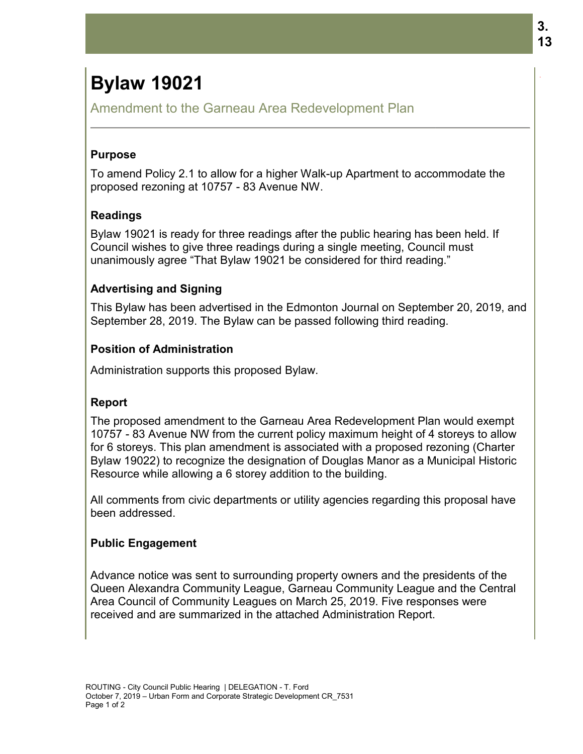# **Bylaw 19021**

Amendment to the Garneau Area Redevelopment Plan

#### **Purpose**

To amend Policy 2.1 to allow for a higher Walk proposed rezoning at 10757 - 83 Avenue NW.

### **Readings**

Bylaw 19021 is ready for three readings after the public hearing has been held. If Council wishes to give three readings during a single meeting, Council must Council wishes to give three readings during a single meeting, Council ı<br>unanimously agree "That Bylaw 19021 be considered for third reading." up Apartment to accommodate the<br>le public hearing has been held. If<br>single meeting, Council must<br>idered for third reading."<br>on Journal on September 20, 2019, and

### **Advertising and Signing and**

This Bylaw has been advertised in the Edmonton Journal on September 20, 2019, September 28, 2019. The Bylaw can be passed following third reading.

### **Position of Administration of**

Administration supports this proposed Bylaw. Administration supports Bylaw.

## **Report**

The proposed amendment to the Garneau Area Redevelopment Plan would exempt 10757 - 83 Avenue NW from the current policy maximum height of 4 storeys to allow for 6 storeys. This plan amendment is associated with a proposed rezoning (Charter Bylaw 19022) to recognize the designation of Douglas Manor as a Municipal Historic Resource while allowing a 6 storey addition to the building. Amendment to the Garneau Area Redevelopment Plan<br>
Purpose<br>
To amend Policy 2.1 to allow for a higher Walk-up Apartment to accommodate the<br>
proposed rezoning at 10757 - 63 Avenue NW.<br>
Reylaw 19021 is ready for three reading **Sylaw 19021**<br>
Amendment to the Garneau Area Redevelopment Plan<br>
To amend Policy 2.1 to allow for a higher Walk-up Apartment to accommodate the<br> **Proposed rezoning at 10757 - 83 Avenue NW.**<br>
Council wishes to give three re

All comments from civic departments or utility agencies regarding this proposal have been addressed.

#### **Public Engagement**

Advance notice was sent to surrounding property owners and the presidents of the Queen Alexandra Community League, Garneau Community League and the Central Area Council of Community Leagues on March 25, 2019. Five responses were received and are summarized in the attached Administration Report.

.